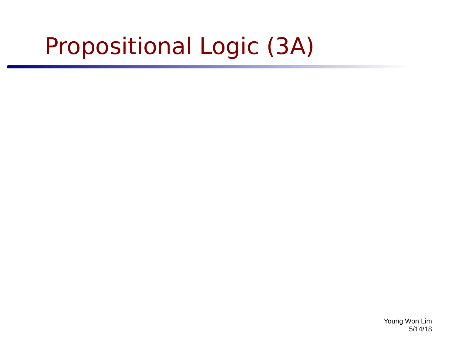# Propositional Logic (3A)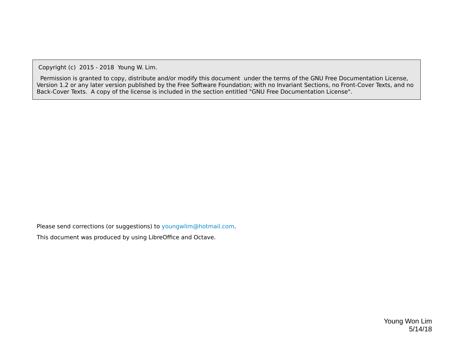Copyright (c) 2015 - 2018 Young W. Lim.

 Permission is granted to copy, distribute and/or modify this document under the terms of the GNU Free Documentation License, Version 1.2 or any later version published by the Free Software Foundation; with no Invariant Sections, no Front-Cover Texts, and no Back-Cover Texts. A copy of the license is included in the section entitled "GNU Free Documentation License".

Please send corrections (or suggestions) to [youngwlim@hotmail.com](mailto:youngwlim@hotmail.com).

This document was produced by using LibreOffice and Octave.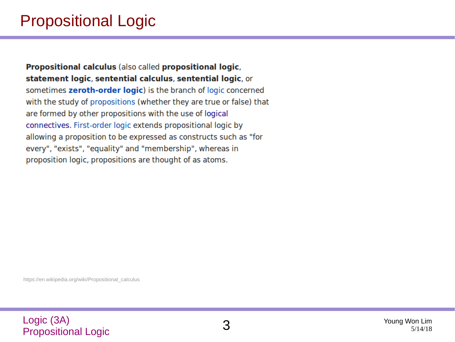## Propositional Logic

Propositional calculus (also called propositional logic, statement logic, sentential calculus, sentential logic, or sometimes zeroth-order logic) is the branch of logic concerned with the study of propositions (whether they are true or false) that are formed by other propositions with the use of logical connectives. First-order logic extends propositional logic by allowing a proposition to be expressed as constructs such as "for every", "exists", "equality" and "membership", whereas in proposition logic, propositions are thought of as atoms.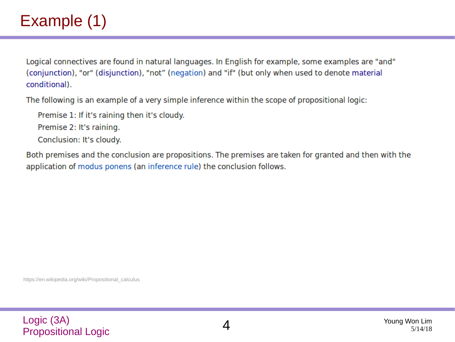## Example (1)

Logical connectives are found in natural languages. In English for example, some examples are "and" (conjunction), "or" (disjunction), "not" (negation) and "if" (but only when used to denote material conditional).

The following is an example of a very simple inference within the scope of propositional logic:

Premise 1: If it's raining then it's cloudy.

Premise 2: It's raining.

Conclusion: It's cloudy.

Both premises and the conclusion are propositions. The premises are taken for granted and then with the application of modus ponens (an inference rule) the conclusion follows.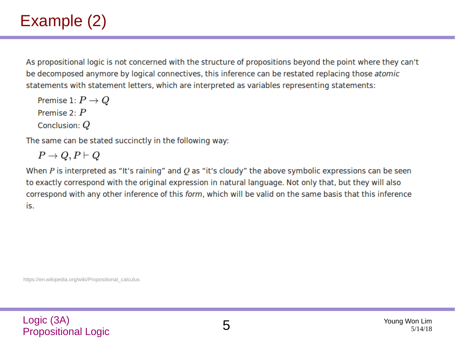## Example (2)

As propositional logic is not concerned with the structure of propositions beyond the point where they can't be decomposed anymore by logical connectives, this inference can be restated replacing those atomic statements with statement letters, which are interpreted as variables representing statements:

Premise 1:  $P \to Q$ Premise  $2 \cdot P$ Conclusion:  $Q$ 

The same can be stated succinctly in the following way:

$$
P\to Q, P\vdash Q
$$

When P is interpreted as "It's raining" and O as "it's cloudy" the above symbolic expressions can be seen to exactly correspond with the original expression in natural language. Not only that, but they will also correspond with any other inference of this form, which will be valid on the same basis that this inference is.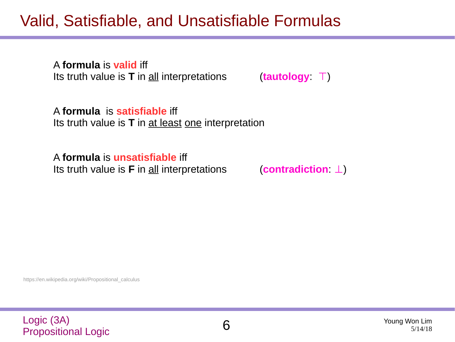## Valid, Satisfiable, and Unsatisfiable Formulas

A **formula** is **valid** iff Its truth value is **T** in all interpretations (**tautology**: ⊤)

A **formula** is **satisfiable** iff Its truth value is **T** in at least one interpretation

A **formula** is **unsatisfiable** iff Its truth value is **F** in all interpretations (**contradiction**: ⊥)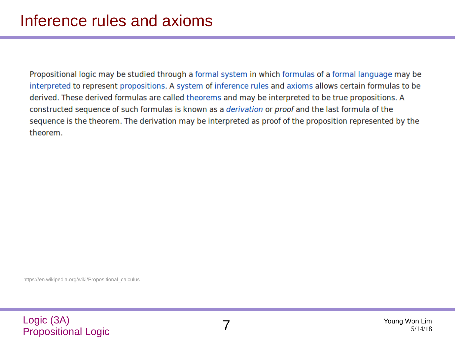Propositional logic may be studied through a formal system in which formulas of a formal language may be interpreted to represent propositions. A system of inference rules and axioms allows certain formulas to be derived. These derived formulas are called theorems and may be interpreted to be true propositions. A constructed sequence of such formulas is known as a derivation or proof and the last formula of the sequence is the theorem. The derivation may be interpreted as proof of the proposition represented by the theorem.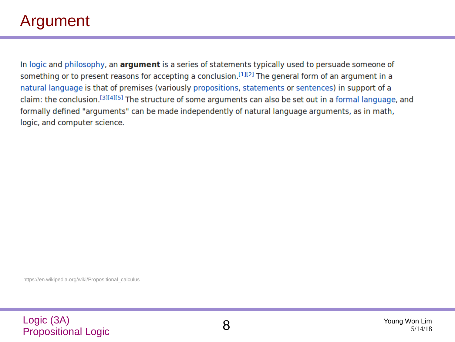## Argument

In logic and philosophy, an argument is a series of statements typically used to persuade someone of something or to present reasons for accepting a conclusion.<sup>[1][2]</sup> The general form of an argument in a natural language is that of premises (variously propositions, statements or sentences) in support of a claim: the conclusion.<sup>[3][4][5]</sup> The structure of some arguments can also be set out in a formal language, and formally defined "arguments" can be made independently of natural language arguments, as in math, logic, and computer science.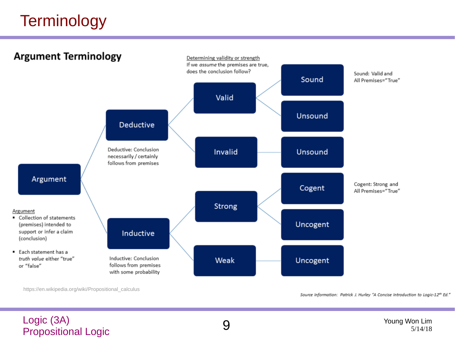## **Terminology**



https://en.wikipedia.org/wiki/Propositional\_calculus

Source Information: Patrick J. Hurley "A Concise Introduction to Logic-12th Ed."

#### Logic (3A) Propositional Logic 9<br>Propositional Logic 9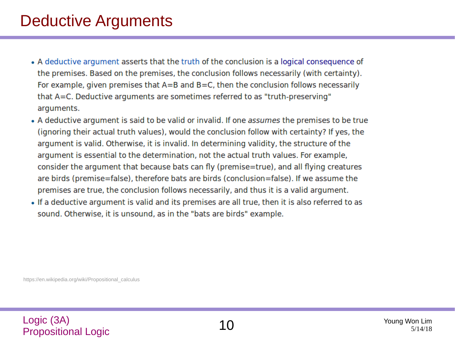## Deductive Arguments

- A deductive argument asserts that the truth of the conclusion is a logical consequence of the premises. Based on the premises, the conclusion follows necessarily (with certainty). For example, given premises that  $A=B$  and  $B=C$ , then the conclusion follows necessarily that A=C. Deductive arguments are sometimes referred to as "truth-preserving" arguments.
- A deductive argument is said to be valid or invalid. If one assumes the premises to be true (ignoring their actual truth values), would the conclusion follow with certainty? If yes, the argument is valid. Otherwise, it is invalid. In determining validity, the structure of the argument is essential to the determination, not the actual truth values. For example, consider the argument that because bats can fly (premise=true), and all flying creatures are birds (premise=false), therefore bats are birds (conclusion=false). If we assume the premises are true, the conclusion follows necessarily, and thus it is a valid argument.
- If a deductive argument is valid and its premises are all true, then it is also referred to as sound. Otherwise, it is unsound, as in the "bats are birds" example.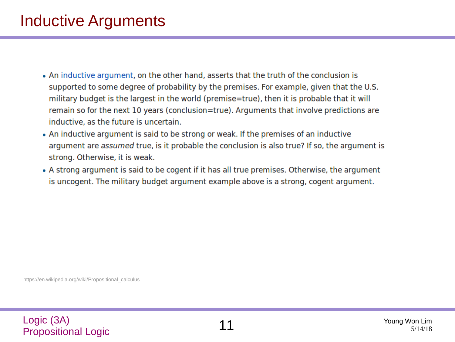## Inductive Arguments

- An inductive argument, on the other hand, asserts that the truth of the conclusion is supported to some degree of probability by the premises. For example, given that the U.S. military budget is the largest in the world (premise=true), then it is probable that it will remain so for the next 10 years (conclusion=true). Arguments that involve predictions are inductive, as the future is uncertain.
- An inductive argument is said to be strong or weak. If the premises of an inductive argument are assumed true, is it probable the conclusion is also true? If so, the argument is strong. Otherwise, it is weak.
- A strong argument is said to be cogent if it has all true premises. Otherwise, the argument is uncogent. The military budget argument example above is a strong, cogent argument.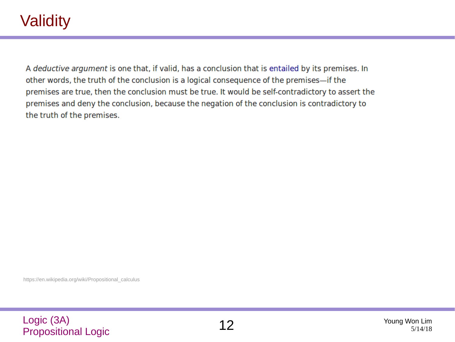## **Validity**

A deductive argument is one that, if valid, has a conclusion that is entailed by its premises. In other words, the truth of the conclusion is a logical consequence of the premises—if the premises are true, then the conclusion must be true. It would be self-contradictory to assert the premises and deny the conclusion, because the negation of the conclusion is contradictory to the truth of the premises.

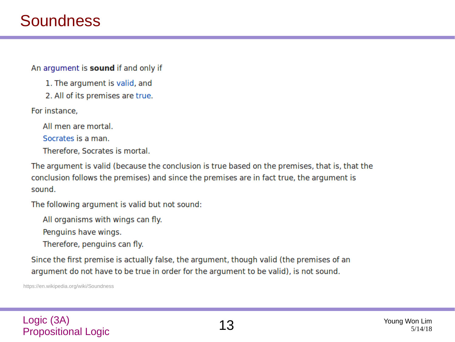### **Soundness**

An argument is sound if and only if

1. The argument is valid, and

2. All of its premises are true.

For instance.

All men are mortal.

Socrates is a man.

Therefore, Socrates is mortal.

The argument is valid (because the conclusion is true based on the premises, that is, that the conclusion follows the premises) and since the premises are in fact true, the argument is sound.

The following argument is valid but not sound:

All organisms with wings can fly.

Penguins have wings.

Therefore, penguins can fly.

Since the first premise is actually false, the argument, though valid (the premises of an argument do not have to be true in order for the argument to be valid), is not sound.

https://en.wikipedia.org/wiki/Soundness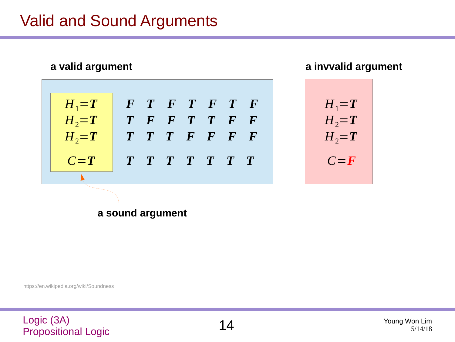## Valid and Sound Arguments

| a valid argument |          |  |  |                             |  |  |  |
|------------------|----------|--|--|-----------------------------|--|--|--|
| $H_1 = T$        |          |  |  | $F$ $T$ $F$ $T$ $F$ $T$ $F$ |  |  |  |
| $H_2 = T$        |          |  |  | T F F T T F F               |  |  |  |
| $H_2 = T$        |          |  |  | T T T F F F F               |  |  |  |
| $C = T$          | TTTTTTTT |  |  |                             |  |  |  |
|                  |          |  |  |                             |  |  |  |

**a invvalid argument**



**a sound argument**

https://en.wikipedia.org/wiki/Soundness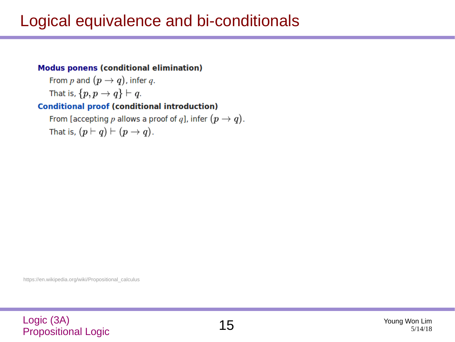## Logical equivalence and bi-conditionals

#### **Modus ponens (conditional elimination)**

From p and  $(p \to q)$ , infer q. That is,  $\{p, p \rightarrow q\} \vdash q$ .

#### **Conditional proof (conditional introduction)**

From [accepting  $p$  allows a proof of  $q$ ], infer  $(p \to q)$ . That is,  $(p \vdash q) \vdash (p \rightarrow q)$ .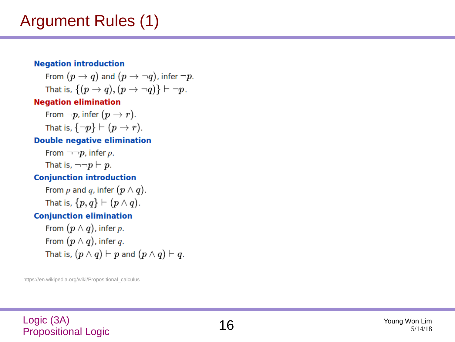## Argument Rules (1)

#### **Negation introduction**

From  $(p \to q)$  and  $(p \to \neg q)$ , infer  $\neg p$ . That is,  $\{(p \rightarrow q), (p \rightarrow \neg q)\}\vdash \neg p$ .

#### **Negation elimination**

From  $\neg p$ , infer  $(p \rightarrow r)$ . That is,  $\{\neg p\} \vdash (p \rightarrow r)$ .

#### **Double negative elimination**

From  $\neg \neg p$ , infer p. That is,  $\neg\neg p \vdash p$ .

#### **Conjunction introduction**

From p and q, infer  $(p \wedge q)$ . That is,  $\{p,q\} \vdash (p \land q)$ .

#### **Conjunction elimination**

From  $(p \wedge q)$ , infer p. From  $(p \wedge q)$ , infer q. That is,  $(p \wedge q) \vdash p$  and  $(p \wedge q) \vdash q$ .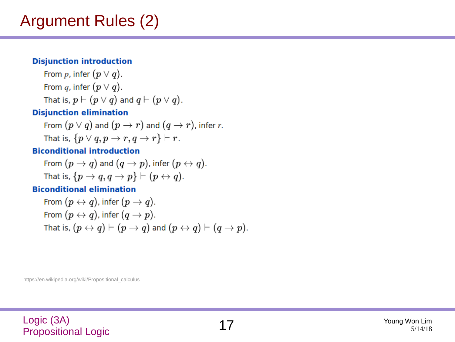## Argument Rules (2)

#### **Disjunction introduction**

From p, infer  $(p \vee q)$ . From q, infer  $(p \vee q)$ . That is,  $p \vdash (p \lor q)$  and  $q \vdash (p \lor q)$ .

#### **Disjunction elimination**

From  $(p \vee q)$  and  $(p \rightarrow r)$  and  $(q \rightarrow r)$ , infer r. That is,  $\{p \lor q, p \rightarrow r, q \rightarrow r\} \vdash r$ .

#### **Biconditional introduction**

From 
$$
(p \rightarrow q)
$$
 and  $(q \rightarrow p)$ , infer  $(p \leftrightarrow q)$ . That is,  $\{p \rightarrow q, q \rightarrow p\} \vdash (p \leftrightarrow q)$ .

#### **Biconditional elimination**

From 
$$
(p \leftrightarrow q)
$$
, infer  $(p \rightarrow q)$ .  
From  $(p \leftrightarrow q)$ , infer  $(q \rightarrow p)$ .  
That is,  $(p \leftrightarrow q) \vdash (p \rightarrow q)$  and  $(p \leftrightarrow q) \vdash (q \rightarrow p)$ .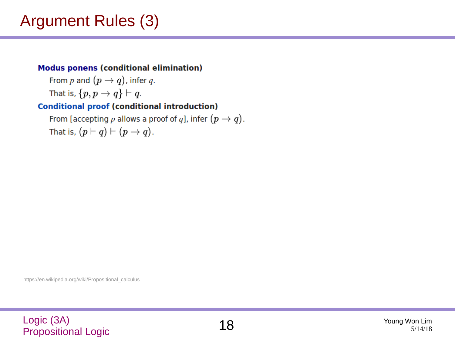## Argument Rules (3)

#### **Modus ponens (conditional elimination)**

From p and  $(p \rightarrow q)$ , infer q. That is,  $\{p, p \rightarrow q\} \vdash q$ .

#### **Conditional proof (conditional introduction)**

From [accepting p allows a proof of q], infer  $(p \to q)$ . That is,  $(p \vdash q) \vdash (p \rightarrow q)$ .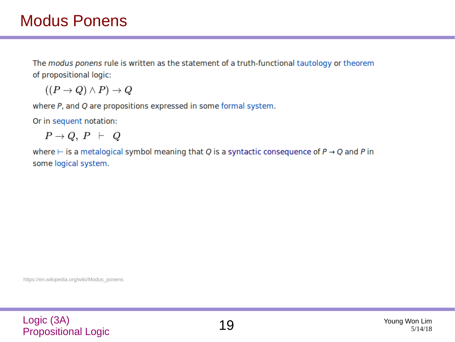The modus ponens rule is written as the statement of a truth-functional tautology or theorem of propositional logic:

 $((P \rightarrow Q) \land P) \rightarrow Q$ 

where P, and Q are propositions expressed in some formal system.

Or in sequent notation:

 $P\rightarrow Q, P \vdash Q$ 

where  $\vdash$  is a metalogical symbol meaning that Q is a syntactic consequence of  $P \rightarrow Q$  and P in some logical system.

https://en.wikipedia.org/wiki/Modus\_ponens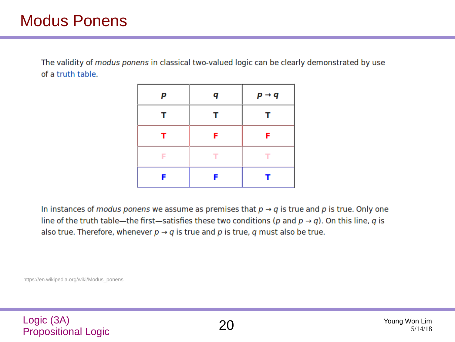The validity of modus ponens in classical two-valued logic can be clearly demonstrated by use of a truth table.

| р | q | $p \rightarrow q$ |
|---|---|-------------------|
| т | т | т                 |
| т | F | F                 |
| F | т | ┳                 |
| F | F |                   |

In instances of *modus ponens* we assume as premises that  $p \rightarrow q$  is true and p is true. Only one line of the truth table—the first—satisfies these two conditions (p and  $p \rightarrow q$ ). On this line, q is also true. Therefore, whenever  $p \rightarrow q$  is true and p is true, q must also be true.

https://en.wikipedia.org/wiki/Modus\_ponens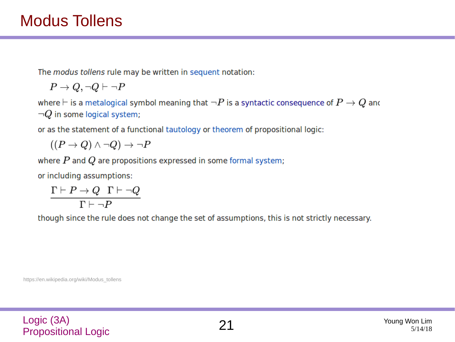The modus tollens rule may be written in sequent notation:

$$
P \to Q, \neg Q \vdash \neg P
$$

where  $\vdash$  is a metalogical symbol meaning that  $\neg P$  is a syntactic consequence of  $P\to Q$  and  $\neg Q$  in some logical system;

or as the statement of a functional tautology or theorem of propositional logic:

 $((P \rightarrow Q) \land \neg Q) \rightarrow \neg P$ 

where  $P$  and  $Q$  are propositions expressed in some formal system;

or including assumptions:

$$
\frac{\Gamma\vdash P\to Q\quad \Gamma\vdash \neg Q}{\Gamma\vdash \neg P}
$$

though since the rule does not change the set of assumptions, this is not strictly necessary.

https://en.wikipedia.org/wiki/Modus\_tollens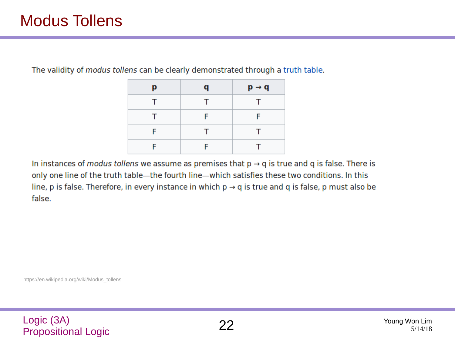## Modus Tollens

The validity of modus tollens can be clearly demonstrated through a truth table.

| р | q  | $p \rightarrow q$ |
|---|----|-------------------|
| т | T. | т                 |
| т | F  | F                 |
| F | T. | т                 |
| F | F  |                   |

In instances of *modus tollens* we assume as premises that  $p \rightarrow q$  is true and q is false. There is only one line of the truth table-the fourth line-which satisfies these two conditions. In this line, p is false. Therefore, in every instance in which  $p \rightarrow q$  is true and q is false, p must also be false.

https://en.wikipedia.org/wiki/Modus\_tollens

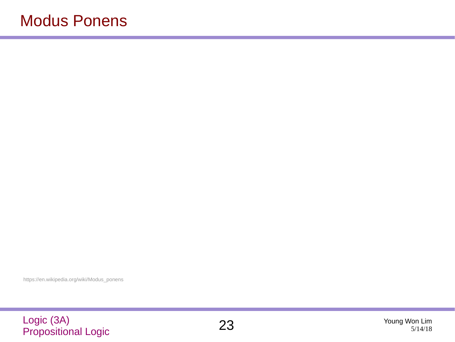https://en.wikipedia.org/wiki/Modus\_ponens

# Logic (3A) Propositional Logic 23 Young Won Lim

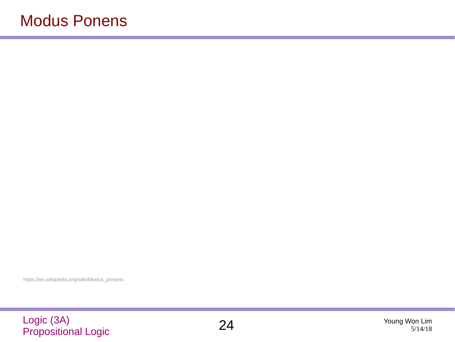https://en.wikipedia.org/wiki/Modus\_ponens

# Logic (3A) Propositional Logic 24 Young Won Lim

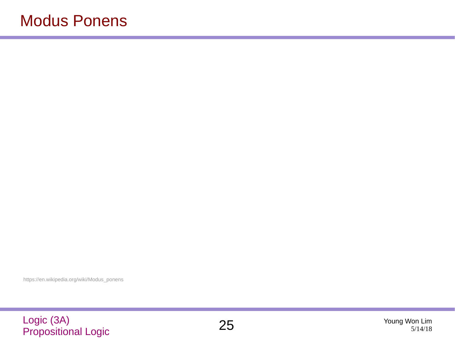https://en.wikipedia.org/wiki/Modus\_ponens

# Logic (3A) Propositional Logic 25 Young Won Lim

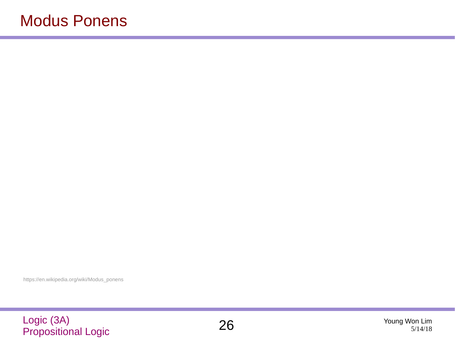https://en.wikipedia.org/wiki/Modus\_ponens

# Logic (3A) Propositional Logic 26 Young Won Lim

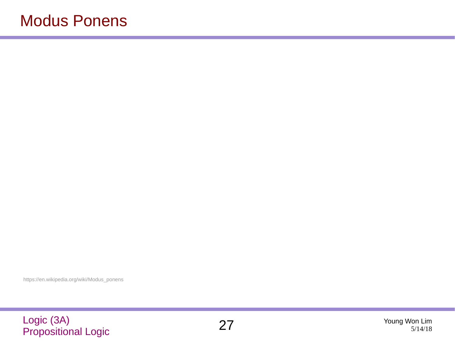https://en.wikipedia.org/wiki/Modus\_ponens

# Logic (3A) Propositional Logic 27 Young Won Lim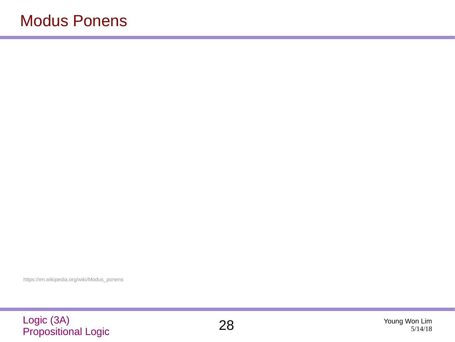https://en.wikipedia.org/wiki/Modus\_ponens

# Logic (3A) Propositional Logic 28 Young Won Lim

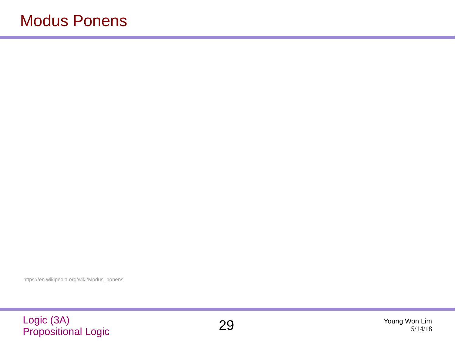https://en.wikipedia.org/wiki/Modus\_ponens

# Logic (3A) Propositional Logic 29 Young Won Lim